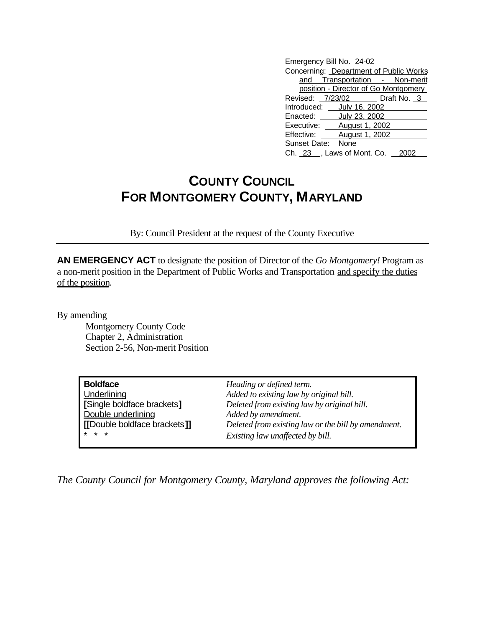| Emergency Bill No. 24-02               |                                |
|----------------------------------------|--------------------------------|
| Concerning: Department of Public Works |                                |
|                                        | and Transportation - Non-merit |
| position - Director of Go Montgomery   |                                |
|                                        | Revised: 7/23/02 Draft No. 3   |
| Introduced: July 16, 2002              |                                |
| Enacted: <b>July 23, 2002</b>          |                                |
| Executive: ____ August 1, 2002         |                                |
| Effective: August 1, 2002              |                                |
| Sunset Date: None                      |                                |
| Ch. 23 , Laws of Mont. Co.             |                                |

## **COUNTY COUNCIL FOR MONTGOMERY COUNTY, MARYLAND**

By: Council President at the request of the County Executive

**AN EMERGENCY ACT** to designate the position of Director of the *Go Montgomery!* Program as a non-merit position in the Department of Public Works and Transportation and specify the duties of the position.

By amending

Montgomery County Code Chapter 2, Administration Section 2-56, Non-merit Position

| <b>Boldface</b>              | Heading or defined term.                            |
|------------------------------|-----------------------------------------------------|
| Underlining                  | Added to existing law by original bill.             |
| [Single boldface brackets]   | Deleted from existing law by original bill.         |
| Double underlining           | Added by amendment.                                 |
| [[Double boldface brackets]] | Deleted from existing law or the bill by amendment. |
| $* * *$                      | Existing law unaffected by bill.                    |

*The County Council for Montgomery County, Maryland approves the following Act:*